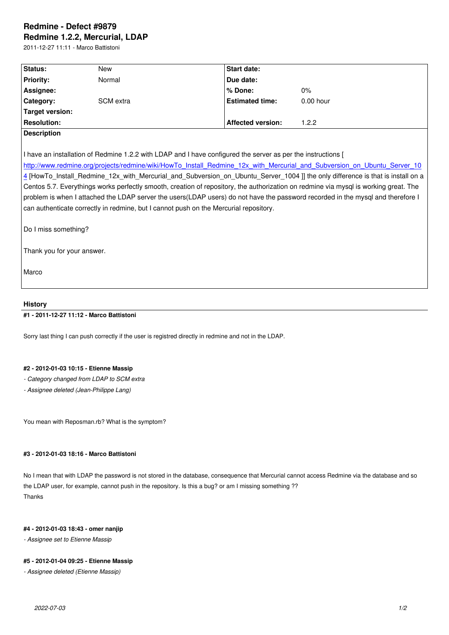#### **Redmine 1.2.2, Mercurial, LDAP**

2011-12-27 11:11 - Marco Battistoni

| Status:            | <b>New</b> | <b>Start date:</b>       |             |  |
|--------------------|------------|--------------------------|-------------|--|
| <b>Priority:</b>   | Normal     | Due date:                |             |  |
| Assignee:          |            | l% Done:                 | 0%          |  |
| Category:          | SCM extra  | <b>Estimated time:</b>   | $0.00$ hour |  |
| Target version:    |            |                          |             |  |
| <b>Resolution:</b> |            | <b>Affected version:</b> | 1.2.2       |  |
| Description        |            |                          |             |  |

I have an installation of Redmine 1.2.2 with LDAP and I have configured the server as per the instructions [

http://www.redmine.org/projects/redmine/wiki/HowTo\_Install\_Redmine\_12x\_with\_Mercurial\_and\_Subversion\_on\_Ubuntu\_Server\_10 4 [HowTo\_Install\_Redmine\_12x\_with\_Mercurial\_and\_Subversion\_on\_Ubuntu\_Server\_1004 ]] the only difference is that is install on a Centos 5.7. Everythings works perfectly smooth, creation of repository, the authorization on redmine via mysql is working great. The [problem is when I attached the LDAP server the users\(LDAP users\) do not have the password recorded in the mysql and therefore I](http://www.redmine.org/projects/redmine/wiki/HowTo_Install_Redmine_12x_with_Mercurial_and_Subversion_on_Ubuntu_Server_1004) [ca](http://www.redmine.org/projects/redmine/wiki/HowTo_Install_Redmine_12x_with_Mercurial_and_Subversion_on_Ubuntu_Server_1004)n authenticate correctly in redmine, but I cannot push on the Mercurial repository.

Do I miss something?

Thank you for your answer.

Marco

# **History**

## **#1 - 2011-12-27 11:12 - Marco Battistoni**

Sorry last thing I can push correctly if the user is registred directly in redmine and not in the LDAP.

# **#2 - 2012-01-03 10:15 - Etienne Massip**

- *Category changed from LDAP to SCM extra*
- *Assignee deleted (Jean-Philippe Lang)*

You mean with Reposman.rb? What is the symptom?

#### **#3 - 2012-01-03 18:16 - Marco Battistoni**

No I mean that with LDAP the password is not stored in the database, consequence that Mercurial cannot access Redmine via the database and so the LDAP user, for example, cannot push in the repository. Is this a bug? or am I missing something ?? Thanks

#### **#4 - 2012-01-03 18:43 - omer nanjip**

*- Assignee set to Etienne Massip*

## **#5 - 2012-01-04 09:25 - Etienne Massip**

*- Assignee deleted (Etienne Massip)*